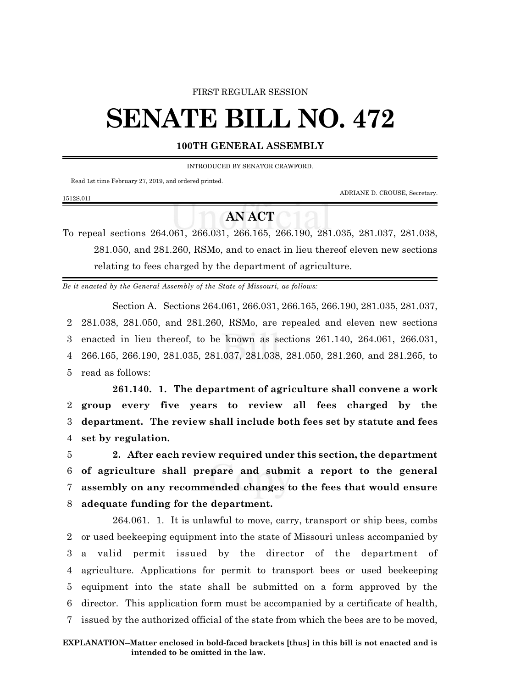## FIRST REGULAR SESSION

## **SENATE BILL NO. 472**

## **100TH GENERAL ASSEMBLY**

INTRODUCED BY SENATOR CRAWFORD.

Read 1st time February 27, 2019, and ordered printed.

1512S.01I

ADRIANE D. CROUSE, Secretary.

## **AN ACT**

To repeal sections 264.061, 266.031, 266.165, 266.190, 281.035, 281.037, 281.038, 281.050, and 281.260, RSMo, and to enact in lieu thereof eleven new sections relating to fees charged by the department of agriculture.

*Be it enacted by the General Assembly of the State of Missouri, as follows:*

Section A. Sections 264.061, 266.031, 266.165, 266.190, 281.035, 281.037, 281.038, 281.050, and 281.260, RSMo, are repealed and eleven new sections enacted in lieu thereof, to be known as sections 261.140, 264.061, 266.031, 266.165, 266.190, 281.035, 281.037, 281.038, 281.050, 281.260, and 281.265, to read as follows:

**261.140. 1. The department of agriculture shall convene a work group every five years to review all fees charged by the department. The review shall include both fees set by statute and fees set by regulation.**

 **2. After each review required under this section, the department of agriculture shall prepare and submit a report to the general assembly on any recommended changes to the fees that would ensure adequate funding for the department.**

264.061. 1. It is unlawful to move, carry, transport or ship bees, combs or used beekeeping equipment into the state of Missouri unless accompanied by a valid permit issued by the director of the department of agriculture. Applications for permit to transport bees or used beekeeping equipment into the state shall be submitted on a form approved by the director. This application form must be accompanied by a certificate of health, issued by the authorized official of the state from which the bees are to be moved,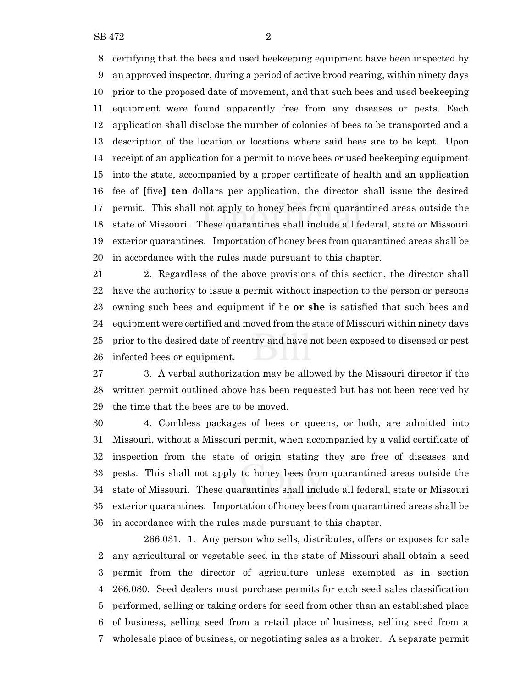certifying that the bees and used beekeeping equipment have been inspected by an approved inspector, during a period of active brood rearing, within ninety days prior to the proposed date of movement, and that such bees and used beekeeping equipment were found apparently free from any diseases or pests. Each application shall disclose the number of colonies of bees to be transported and a description of the location or locations where said bees are to be kept. Upon receipt of an application for a permit to move bees or used beekeeping equipment into the state, accompanied by a proper certificate of health and an application fee of **[**five**] ten** dollars per application, the director shall issue the desired permit. This shall not apply to honey bees from quarantined areas outside the state of Missouri. These quarantines shall include all federal, state or Missouri exterior quarantines. Importation of honey bees from quarantined areas shall be in accordance with the rules made pursuant to this chapter.

 2. Regardless of the above provisions of this section, the director shall have the authority to issue a permit without inspection to the person or persons owning such bees and equipment if he **or she** is satisfied that such bees and equipment were certified and moved from the state of Missouri within ninety days prior to the desired date of reentry and have not been exposed to diseased or pest infected bees or equipment.

 3. A verbal authorization may be allowed by the Missouri director if the written permit outlined above has been requested but has not been received by the time that the bees are to be moved.

 4. Combless packages of bees or queens, or both, are admitted into Missouri, without a Missouri permit, when accompanied by a valid certificate of inspection from the state of origin stating they are free of diseases and pests. This shall not apply to honey bees from quarantined areas outside the state of Missouri. These quarantines shall include all federal, state or Missouri exterior quarantines. Importation of honey bees from quarantined areas shall be in accordance with the rules made pursuant to this chapter.

266.031. 1. Any person who sells, distributes, offers or exposes for sale any agricultural or vegetable seed in the state of Missouri shall obtain a seed permit from the director of agriculture unless exempted as in section 266.080. Seed dealers must purchase permits for each seed sales classification performed, selling or taking orders for seed from other than an established place of business, selling seed from a retail place of business, selling seed from a wholesale place of business, or negotiating sales as a broker. A separate permit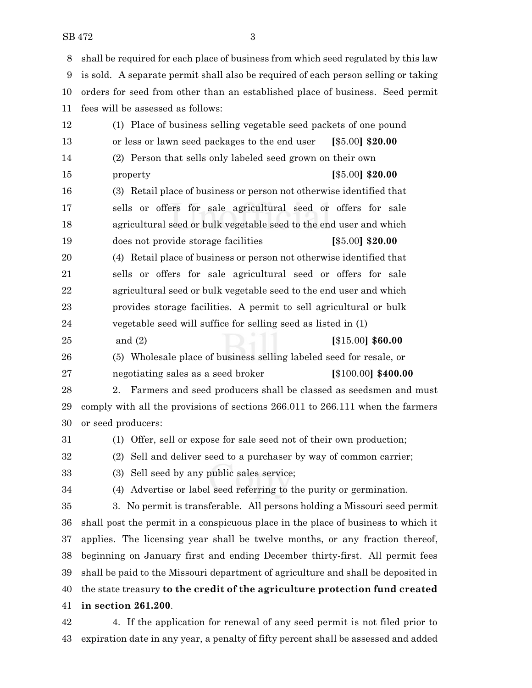SB 472 3

 shall be required for each place of business from which seed regulated by this law is sold. A separate permit shall also be required of each person selling or taking orders for seed from other than an established place of business. Seed permit fees will be assessed as follows: (1) Place of business selling vegetable seed packets of one pound or less or lawn seed packages to the end user **[**\$5.00**] \$20.00** (2) Person that sells only labeled seed grown on their own property **[**\$5.00**] \$20.00** (3) Retail place of business or person not otherwise identified that sells or offers for sale agricultural seed or offers for sale agricultural seed or bulk vegetable seed to the end user and which does not provide storage facilities **[**\$5.00**] \$20.00** (4) Retail place of business or person not otherwise identified that sells or offers for sale agricultural seed or offers for sale agricultural seed or bulk vegetable seed to the end user and which provides storage facilities. A permit to sell agricultural or bulk vegetable seed will suffice for selling seed as listed in (1) and (2) **[**\$15.00**] \$60.00** (5) Wholesale place of business selling labeled seed for resale, or negotiating sales as a seed broker **[**\$100.00**] \$400.00** 2. Farmers and seed producers shall be classed as seedsmen and must comply with all the provisions of sections 266.011 to 266.111 when the farmers or seed producers: (1) Offer, sell or expose for sale seed not of their own production; (2) Sell and deliver seed to a purchaser by way of common carrier; (3) Sell seed by any public sales service; (4) Advertise or label seed referring to the purity or germination. 3. No permit is transferable. All persons holding a Missouri seed permit shall post the permit in a conspicuous place in the place of business to which it applies. The licensing year shall be twelve months, or any fraction thereof, beginning on January first and ending December thirty-first. All permit fees shall be paid to the Missouri department of agriculture and shall be deposited in the state treasury **to the credit of the agriculture protection fund created in section 261.200**.

 4. If the application for renewal of any seed permit is not filed prior to expiration date in any year, a penalty of fifty percent shall be assessed and added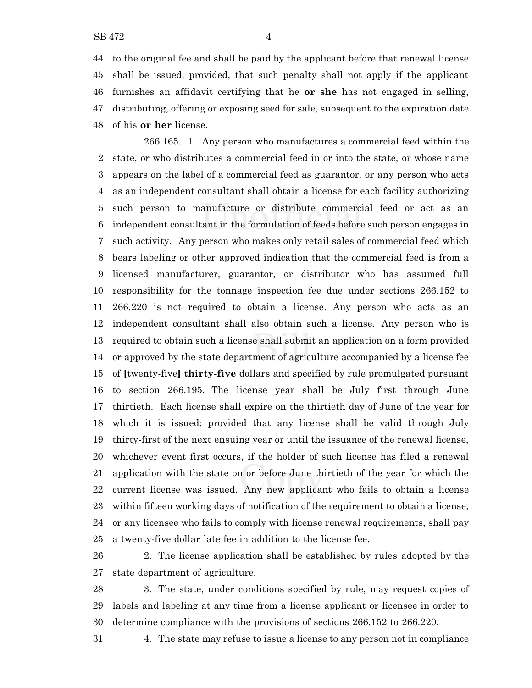to the original fee and shall be paid by the applicant before that renewal license shall be issued; provided, that such penalty shall not apply if the applicant furnishes an affidavit certifying that he **or she** has not engaged in selling, distributing, offering or exposing seed for sale, subsequent to the expiration date of his **or her** license.

266.165. 1. Any person who manufactures a commercial feed within the state, or who distributes a commercial feed in or into the state, or whose name appears on the label of a commercial feed as guarantor, or any person who acts as an independent consultant shall obtain a license for each facility authorizing such person to manufacture or distribute commercial feed or act as an independent consultant in the formulation of feeds before such person engages in such activity. Any person who makes only retail sales of commercial feed which bears labeling or other approved indication that the commercial feed is from a licensed manufacturer, guarantor, or distributor who has assumed full responsibility for the tonnage inspection fee due under sections 266.152 to 266.220 is not required to obtain a license. Any person who acts as an independent consultant shall also obtain such a license. Any person who is required to obtain such a license shall submit an application on a form provided or approved by the state department of agriculture accompanied by a license fee of **[**twenty-five**] thirty-five** dollars and specified by rule promulgated pursuant to section 266.195. The license year shall be July first through June thirtieth. Each license shall expire on the thirtieth day of June of the year for which it is issued; provided that any license shall be valid through July thirty-first of the next ensuing year or until the issuance of the renewal license, whichever event first occurs, if the holder of such license has filed a renewal application with the state on or before June thirtieth of the year for which the current license was issued. Any new applicant who fails to obtain a license within fifteen working days of notification of the requirement to obtain a license, or any licensee who fails to comply with license renewal requirements, shall pay a twenty-five dollar late fee in addition to the license fee.

 2. The license application shall be established by rules adopted by the state department of agriculture.

 3. The state, under conditions specified by rule, may request copies of labels and labeling at any time from a license applicant or licensee in order to determine compliance with the provisions of sections 266.152 to 266.220.

4. The state may refuse to issue a license to any person not in compliance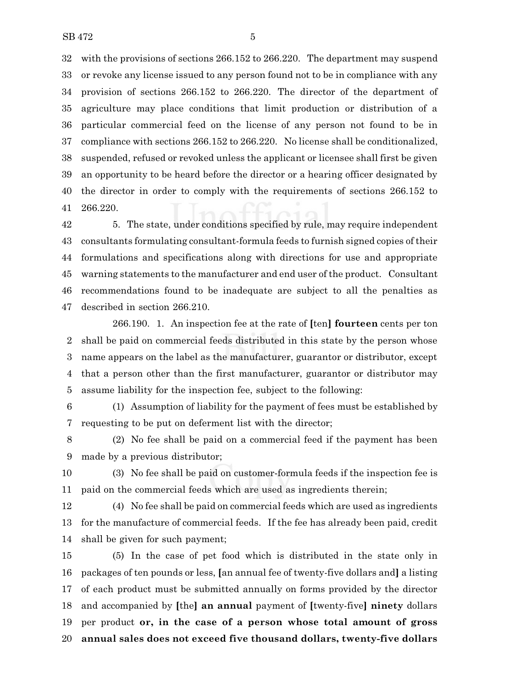with the provisions of sections 266.152 to 266.220. The department may suspend or revoke any license issued to any person found not to be in compliance with any provision of sections 266.152 to 266.220. The director of the department of agriculture may place conditions that limit production or distribution of a particular commercial feed on the license of any person not found to be in compliance with sections 266.152 to 266.220. No license shall be conditionalized, suspended, refused or revoked unless the applicant or licensee shall first be given an opportunity to be heard before the director or a hearing officer designated by the director in order to comply with the requirements of sections 266.152 to 266.220.

 5. The state, under conditions specified by rule, may require independent consultants formulating consultant-formula feeds to furnish signed copies of their formulations and specifications along with directions for use and appropriate warning statements to the manufacturer and end user of the product. Consultant recommendations found to be inadequate are subject to all the penalties as described in section 266.210.

266.190. 1. An inspection fee at the rate of **[**ten**] fourteen** cents per ton shall be paid on commercial feeds distributed in this state by the person whose name appears on the label as the manufacturer, guarantor or distributor, except that a person other than the first manufacturer, guarantor or distributor may assume liability for the inspection fee, subject to the following:

 (1) Assumption of liability for the payment of fees must be established by requesting to be put on deferment list with the director;

 (2) No fee shall be paid on a commercial feed if the payment has been made by a previous distributor;

 (3) No fee shall be paid on customer-formula feeds if the inspection fee is paid on the commercial feeds which are used as ingredients therein;

 (4) No fee shall be paid on commercial feeds which are used as ingredients for the manufacture of commercial feeds. If the fee has already been paid, credit shall be given for such payment;

 (5) In the case of pet food which is distributed in the state only in packages of ten pounds or less, **[**an annual fee of twenty-five dollars and**]** a listing of each product must be submitted annually on forms provided by the director and accompanied by **[**the**] an annual** payment of **[**twenty-five**] ninety** dollars per product **or, in the case of a person whose total amount of gross annual sales does not exceed five thousand dollars, twenty-five dollars**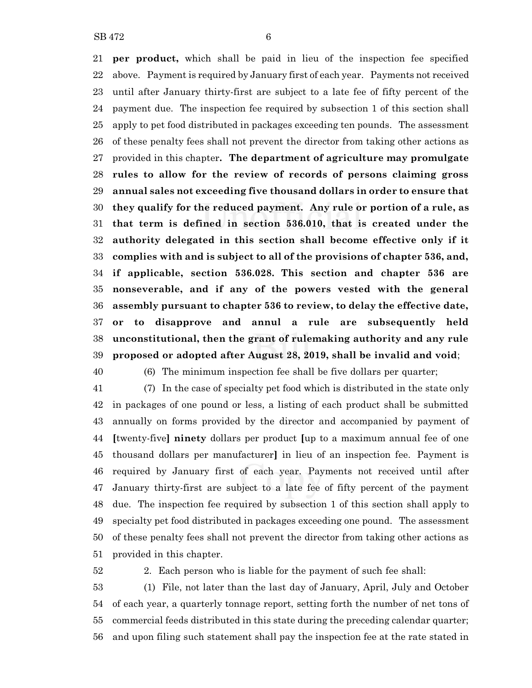**per product,** which shall be paid in lieu of the inspection fee specified above. Payment is required by January first of each year. Payments not received until after January thirty-first are subject to a late fee of fifty percent of the payment due. The inspection fee required by subsection 1 of this section shall apply to pet food distributed in packages exceeding ten pounds. The assessment of these penalty fees shall not prevent the director from taking other actions as provided in this chapter**. The department of agriculture may promulgate rules to allow for the review of records of persons claiming gross annual sales not exceeding five thousand dollars in order to ensure that they qualify for the reduced payment. Any rule or portion of a rule, as that term is defined in section 536.010, that is created under the**

 **authority delegated in this section shall become effective only if it complies with and is subject to all of the provisions of chapter 536, and, if applicable, section 536.028. This section and chapter 536 are nonseverable, and if any of the powers vested with the general assembly pursuant to chapter 536 to review, to delay the effective date, or to disapprove and annul a rule are subsequently held unconstitutional, then the grant of rulemaking authority and any rule proposed or adopted after August 28, 2019, shall be invalid and void**;

(6) The minimum inspection fee shall be five dollars per quarter;

 (7) In the case of specialty pet food which is distributed in the state only in packages of one pound or less, a listing of each product shall be submitted annually on forms provided by the director and accompanied by payment of **[**twenty-five**] ninety** dollars per product **[**up to a maximum annual fee of one thousand dollars per manufacturer**]** in lieu of an inspection fee. Payment is required by January first of each year. Payments not received until after January thirty-first are subject to a late fee of fifty percent of the payment due. The inspection fee required by subsection 1 of this section shall apply to specialty pet food distributed in packages exceeding one pound. The assessment of these penalty fees shall not prevent the director from taking other actions as provided in this chapter.

2. Each person who is liable for the payment of such fee shall:

 (1) File, not later than the last day of January, April, July and October of each year, a quarterly tonnage report, setting forth the number of net tons of commercial feeds distributed in this state during the preceding calendar quarter; and upon filing such statement shall pay the inspection fee at the rate stated in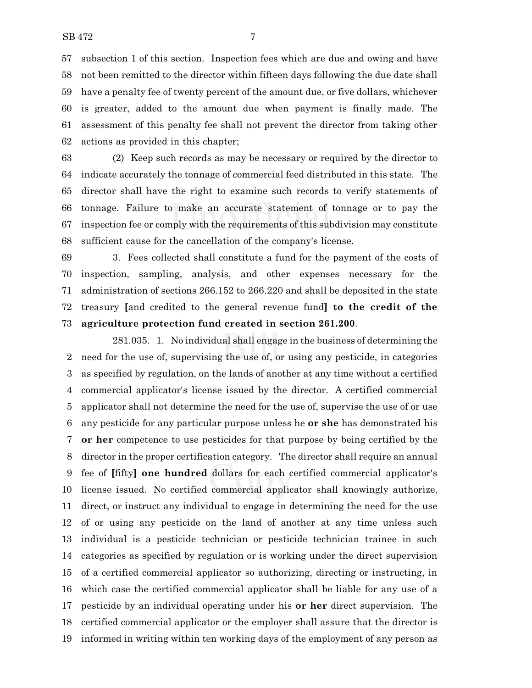subsection 1 of this section. Inspection fees which are due and owing and have not been remitted to the director within fifteen days following the due date shall have a penalty fee of twenty percent of the amount due, or five dollars, whichever is greater, added to the amount due when payment is finally made. The assessment of this penalty fee shall not prevent the director from taking other actions as provided in this chapter;

 (2) Keep such records as may be necessary or required by the director to indicate accurately the tonnage of commercial feed distributed in this state. The director shall have the right to examine such records to verify statements of tonnage. Failure to make an accurate statement of tonnage or to pay the inspection fee or comply with the requirements of this subdivision may constitute sufficient cause for the cancellation of the company's license.

 3. Fees collected shall constitute a fund for the payment of the costs of inspection, sampling, analysis, and other expenses necessary for the administration of sections 266.152 to 266.220 and shall be deposited in the state treasury **[**and credited to the general revenue fund**] to the credit of the agriculture protection fund created in section 261.200**.

281.035. 1. No individual shall engage in the business of determining the need for the use of, supervising the use of, or using any pesticide, in categories as specified by regulation, on the lands of another at any time without a certified commercial applicator's license issued by the director. A certified commercial applicator shall not determine the need for the use of, supervise the use of or use any pesticide for any particular purpose unless he **or she** has demonstrated his **or her** competence to use pesticides for that purpose by being certified by the director in the proper certification category. The director shall require an annual fee of **[**fifty**] one hundred** dollars for each certified commercial applicator's license issued. No certified commercial applicator shall knowingly authorize, direct, or instruct any individual to engage in determining the need for the use of or using any pesticide on the land of another at any time unless such individual is a pesticide technician or pesticide technician trainee in such categories as specified by regulation or is working under the direct supervision of a certified commercial applicator so authorizing, directing or instructing, in which case the certified commercial applicator shall be liable for any use of a pesticide by an individual operating under his **or her** direct supervision. The certified commercial applicator or the employer shall assure that the director is informed in writing within ten working days of the employment of any person as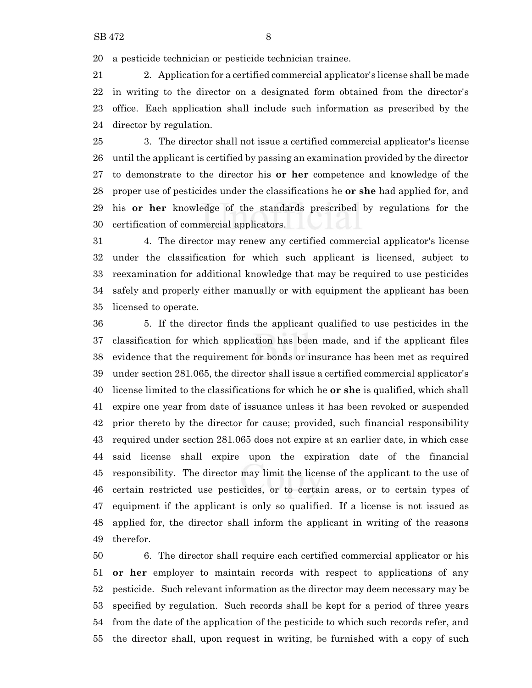a pesticide technician or pesticide technician trainee.

 2. Application for a certified commercial applicator's license shall be made in writing to the director on a designated form obtained from the director's office. Each application shall include such information as prescribed by the director by regulation.

 3. The director shall not issue a certified commercial applicator's license until the applicant is certified by passing an examination provided by the director to demonstrate to the director his **or her** competence and knowledge of the proper use of pesticides under the classifications he **or she** had applied for, and his **or her** knowledge of the standards prescribed by regulations for the certification of commercial applicators.

 4. The director may renew any certified commercial applicator's license under the classification for which such applicant is licensed, subject to reexamination for additional knowledge that may be required to use pesticides safely and properly either manually or with equipment the applicant has been licensed to operate.

 5. If the director finds the applicant qualified to use pesticides in the classification for which application has been made, and if the applicant files evidence that the requirement for bonds or insurance has been met as required under section 281.065, the director shall issue a certified commercial applicator's license limited to the classifications for which he **or she** is qualified, which shall expire one year from date of issuance unless it has been revoked or suspended prior thereto by the director for cause; provided, such financial responsibility required under section 281.065 does not expire at an earlier date, in which case said license shall expire upon the expiration date of the financial responsibility. The director may limit the license of the applicant to the use of certain restricted use pesticides, or to certain areas, or to certain types of equipment if the applicant is only so qualified. If a license is not issued as applied for, the director shall inform the applicant in writing of the reasons therefor.

 6. The director shall require each certified commercial applicator or his **or her** employer to maintain records with respect to applications of any pesticide. Such relevant information as the director may deem necessary may be specified by regulation. Such records shall be kept for a period of three years from the date of the application of the pesticide to which such records refer, and the director shall, upon request in writing, be furnished with a copy of such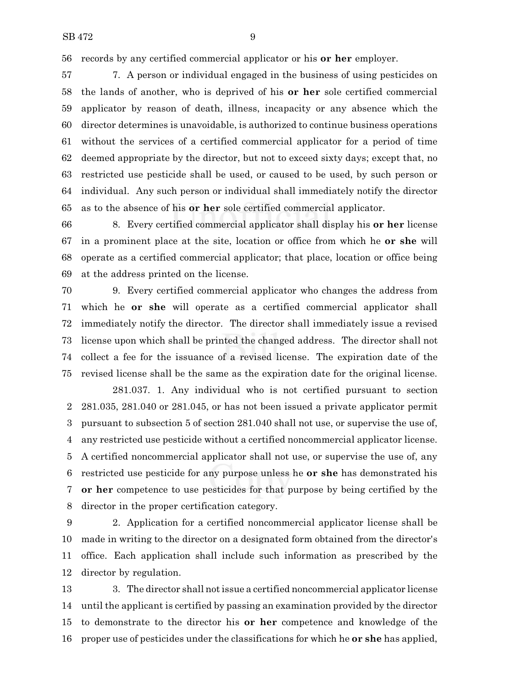records by any certified commercial applicator or his **or her** employer.

 7. A person or individual engaged in the business of using pesticides on the lands of another, who is deprived of his **or her** sole certified commercial applicator by reason of death, illness, incapacity or any absence which the director determines is unavoidable, is authorized to continue business operations without the services of a certified commercial applicator for a period of time deemed appropriate by the director, but not to exceed sixty days; except that, no restricted use pesticide shall be used, or caused to be used, by such person or individual. Any such person or individual shall immediately notify the director as to the absence of his **or her** sole certified commercial applicator.

 8. Every certified commercial applicator shall display his **or her** license in a prominent place at the site, location or office from which he **or she** will operate as a certified commercial applicator; that place, location or office being at the address printed on the license.

 9. Every certified commercial applicator who changes the address from which he **or she** will operate as a certified commercial applicator shall immediately notify the director. The director shall immediately issue a revised license upon which shall be printed the changed address. The director shall not collect a fee for the issuance of a revised license. The expiration date of the revised license shall be the same as the expiration date for the original license.

281.037. 1. Any individual who is not certified pursuant to section 281.035, 281.040 or 281.045, or has not been issued a private applicator permit pursuant to subsection 5 of section 281.040 shall not use, or supervise the use of, any restricted use pesticide without a certified noncommercial applicator license. A certified noncommercial applicator shall not use, or supervise the use of, any restricted use pesticide for any purpose unless he **or she** has demonstrated his **or her** competence to use pesticides for that purpose by being certified by the director in the proper certification category.

 2. Application for a certified noncommercial applicator license shall be made in writing to the director on a designated form obtained from the director's office. Each application shall include such information as prescribed by the director by regulation.

 3. The director shall not issue a certified noncommercial applicator license until the applicant is certified by passing an examination provided by the director to demonstrate to the director his **or her** competence and knowledge of the proper use of pesticides under the classifications for which he **or she** has applied,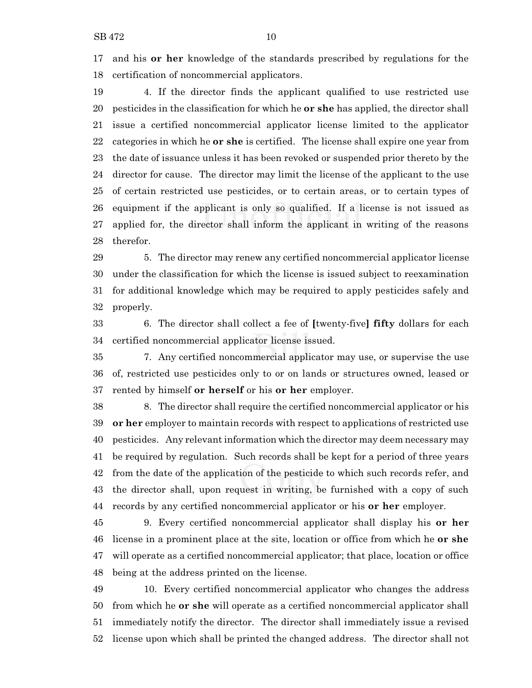and his **or her** knowledge of the standards prescribed by regulations for the certification of noncommercial applicators.

 4. If the director finds the applicant qualified to use restricted use pesticides in the classification for which he **or she** has applied, the director shall issue a certified noncommercial applicator license limited to the applicator categories in which he **or she** is certified. The license shall expire one year from the date of issuance unless it has been revoked or suspended prior thereto by the director for cause. The director may limit the license of the applicant to the use of certain restricted use pesticides, or to certain areas, or to certain types of equipment if the applicant is only so qualified. If a license is not issued as applied for, the director shall inform the applicant in writing of the reasons therefor.

 5. The director may renew any certified noncommercial applicator license under the classification for which the license is issued subject to reexamination for additional knowledge which may be required to apply pesticides safely and properly.

 6. The director shall collect a fee of **[**twenty-five**] fifty** dollars for each certified noncommercial applicator license issued.

 7. Any certified noncommercial applicator may use, or supervise the use of, restricted use pesticides only to or on lands or structures owned, leased or rented by himself **or herself** or his **or her** employer.

 8. The director shall require the certified noncommercial applicator or his **or her** employer to maintain records with respect to applications of restricted use pesticides. Any relevant information which the director may deem necessary may be required by regulation. Such records shall be kept for a period of three years from the date of the application of the pesticide to which such records refer, and the director shall, upon request in writing, be furnished with a copy of such records by any certified noncommercial applicator or his **or her** employer.

 9. Every certified noncommercial applicator shall display his **or her** license in a prominent place at the site, location or office from which he **or she** will operate as a certified noncommercial applicator; that place, location or office being at the address printed on the license.

 10. Every certified noncommercial applicator who changes the address from which he **or she** will operate as a certified noncommercial applicator shall immediately notify the director. The director shall immediately issue a revised license upon which shall be printed the changed address. The director shall not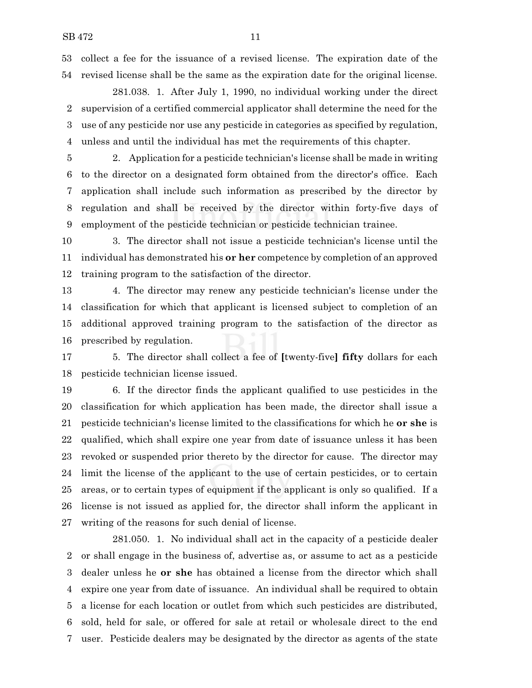collect a fee for the issuance of a revised license. The expiration date of the revised license shall be the same as the expiration date for the original license.

281.038. 1. After July 1, 1990, no individual working under the direct supervision of a certified commercial applicator shall determine the need for the use of any pesticide nor use any pesticide in categories as specified by regulation, unless and until the individual has met the requirements of this chapter.

 2. Application for a pesticide technician's license shall be made in writing to the director on a designated form obtained from the director's office. Each application shall include such information as prescribed by the director by regulation and shall be received by the director within forty-five days of employment of the pesticide technician or pesticide technician trainee.

 3. The director shall not issue a pesticide technician's license until the individual has demonstrated his **or her** competence by completion of an approved training program to the satisfaction of the director.

 4. The director may renew any pesticide technician's license under the classification for which that applicant is licensed subject to completion of an additional approved training program to the satisfaction of the director as prescribed by regulation.

 5. The director shall collect a fee of **[**twenty-five**] fifty** dollars for each pesticide technician license issued.

 6. If the director finds the applicant qualified to use pesticides in the classification for which application has been made, the director shall issue a pesticide technician's license limited to the classifications for which he **or she** is qualified, which shall expire one year from date of issuance unless it has been revoked or suspended prior thereto by the director for cause. The director may limit the license of the applicant to the use of certain pesticides, or to certain areas, or to certain types of equipment if the applicant is only so qualified. If a license is not issued as applied for, the director shall inform the applicant in writing of the reasons for such denial of license.

281.050. 1. No individual shall act in the capacity of a pesticide dealer or shall engage in the business of, advertise as, or assume to act as a pesticide dealer unless he **or she** has obtained a license from the director which shall expire one year from date of issuance. An individual shall be required to obtain a license for each location or outlet from which such pesticides are distributed, sold, held for sale, or offered for sale at retail or wholesale direct to the end user. Pesticide dealers may be designated by the director as agents of the state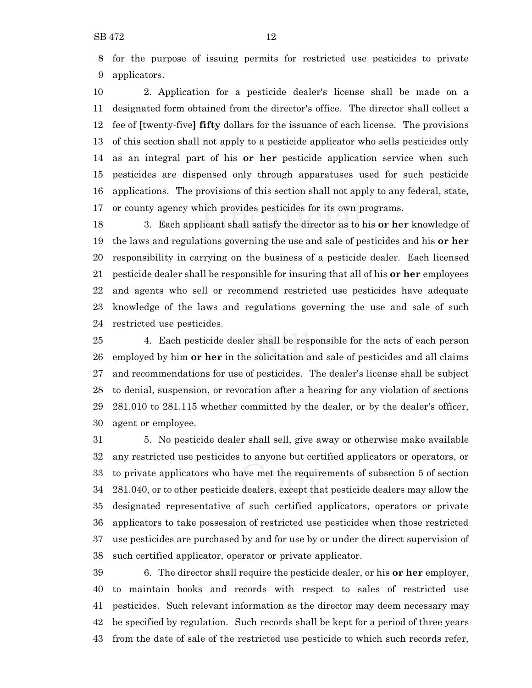for the purpose of issuing permits for restricted use pesticides to private applicators.

 2. Application for a pesticide dealer's license shall be made on a designated form obtained from the director's office. The director shall collect a fee of **[**twenty-five**] fifty** dollars for the issuance of each license. The provisions of this section shall not apply to a pesticide applicator who sells pesticides only as an integral part of his **or her** pesticide application service when such pesticides are dispensed only through apparatuses used for such pesticide applications. The provisions of this section shall not apply to any federal, state, or county agency which provides pesticides for its own programs.

 3. Each applicant shall satisfy the director as to his **or her** knowledge of the laws and regulations governing the use and sale of pesticides and his **or her** responsibility in carrying on the business of a pesticide dealer. Each licensed pesticide dealer shall be responsible for insuring that all of his **or her** employees and agents who sell or recommend restricted use pesticides have adequate knowledge of the laws and regulations governing the use and sale of such restricted use pesticides.

 4. Each pesticide dealer shall be responsible for the acts of each person employed by him **or her** in the solicitation and sale of pesticides and all claims and recommendations for use of pesticides. The dealer's license shall be subject to denial, suspension, or revocation after a hearing for any violation of sections 281.010 to 281.115 whether committed by the dealer, or by the dealer's officer, agent or employee.

 5. No pesticide dealer shall sell, give away or otherwise make available any restricted use pesticides to anyone but certified applicators or operators, or to private applicators who have met the requirements of subsection 5 of section 281.040, or to other pesticide dealers, except that pesticide dealers may allow the designated representative of such certified applicators, operators or private applicators to take possession of restricted use pesticides when those restricted use pesticides are purchased by and for use by or under the direct supervision of such certified applicator, operator or private applicator.

 6. The director shall require the pesticide dealer, or his **or her** employer, to maintain books and records with respect to sales of restricted use pesticides. Such relevant information as the director may deem necessary may be specified by regulation. Such records shall be kept for a period of three years from the date of sale of the restricted use pesticide to which such records refer,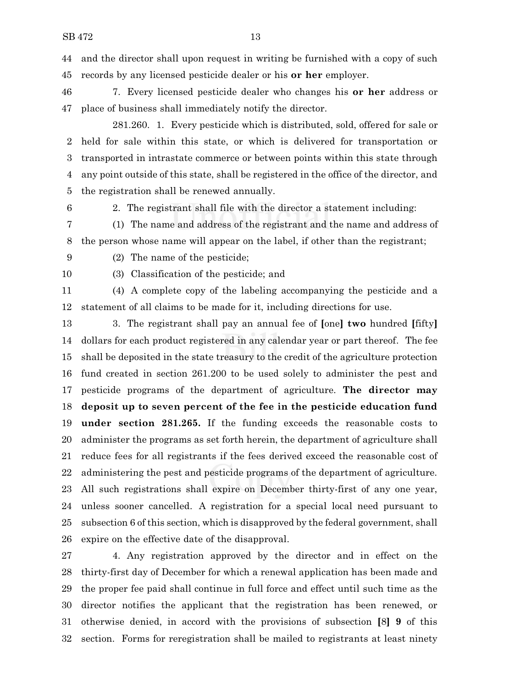and the director shall upon request in writing be furnished with a copy of such records by any licensed pesticide dealer or his **or her** employer.

 7. Every licensed pesticide dealer who changes his **or her** address or place of business shall immediately notify the director.

- 281.260. 1. Every pesticide which is distributed, sold, offered for sale or held for sale within this state, or which is delivered for transportation or transported in intrastate commerce or between points within this state through any point outside of this state, shall be registered in the office of the director, and the registration shall be renewed annually.
- 

2. The registrant shall file with the director a statement including:

(1) The name and address of the registrant and the name and address of

the person whose name will appear on the label, if other than the registrant;

(2) The name of the pesticide;

(3) Classification of the pesticide; and

 (4) A complete copy of the labeling accompanying the pesticide and a statement of all claims to be made for it, including directions for use.

 3. The registrant shall pay an annual fee of **[**one**] two** hundred **[**fifty**]** dollars for each product registered in any calendar year or part thereof. The fee shall be deposited in the state treasury to the credit of the agriculture protection fund created in section 261.200 to be used solely to administer the pest and pesticide programs of the department of agriculture. **The director may deposit up to seven percent of the fee in the pesticide education fund under section 281.265.** If the funding exceeds the reasonable costs to administer the programs as set forth herein, the department of agriculture shall reduce fees for all registrants if the fees derived exceed the reasonable cost of administering the pest and pesticide programs of the department of agriculture. All such registrations shall expire on December thirty-first of any one year, unless sooner cancelled. A registration for a special local need pursuant to subsection 6 of this section, which is disapproved by the federal government, shall expire on the effective date of the disapproval.

 4. Any registration approved by the director and in effect on the thirty-first day of December for which a renewal application has been made and the proper fee paid shall continue in full force and effect until such time as the director notifies the applicant that the registration has been renewed, or otherwise denied, in accord with the provisions of subsection **[**8**] 9** of this section. Forms for reregistration shall be mailed to registrants at least ninety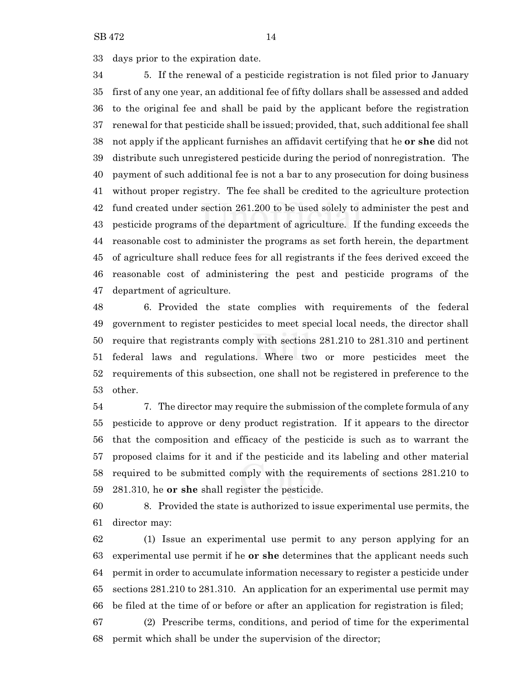days prior to the expiration date.

 5. If the renewal of a pesticide registration is not filed prior to January first of any one year, an additional fee of fifty dollars shall be assessed and added to the original fee and shall be paid by the applicant before the registration renewal for that pesticide shall be issued; provided, that, such additional fee shall not apply if the applicant furnishes an affidavit certifying that he **or she** did not distribute such unregistered pesticide during the period of nonregistration. The payment of such additional fee is not a bar to any prosecution for doing business without proper registry. The fee shall be credited to the agriculture protection fund created under section 261.200 to be used solely to administer the pest and pesticide programs of the department of agriculture. If the funding exceeds the reasonable cost to administer the programs as set forth herein, the department of agriculture shall reduce fees for all registrants if the fees derived exceed the reasonable cost of administering the pest and pesticide programs of the department of agriculture.

 6. Provided the state complies with requirements of the federal government to register pesticides to meet special local needs, the director shall require that registrants comply with sections 281.210 to 281.310 and pertinent federal laws and regulations. Where two or more pesticides meet the requirements of this subsection, one shall not be registered in preference to the other.

 7. The director may require the submission of the complete formula of any pesticide to approve or deny product registration. If it appears to the director that the composition and efficacy of the pesticide is such as to warrant the proposed claims for it and if the pesticide and its labeling and other material required to be submitted comply with the requirements of sections 281.210 to 281.310, he **or she** shall register the pesticide.

 8. Provided the state is authorized to issue experimental use permits, the director may:

 (1) Issue an experimental use permit to any person applying for an experimental use permit if he **or she** determines that the applicant needs such permit in order to accumulate information necessary to register a pesticide under sections 281.210 to 281.310. An application for an experimental use permit may be filed at the time of or before or after an application for registration is filed;

 (2) Prescribe terms, conditions, and period of time for the experimental permit which shall be under the supervision of the director;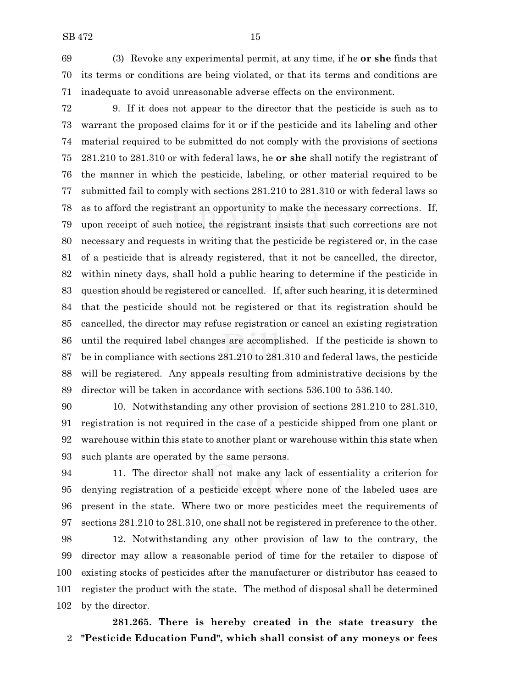(3) Revoke any experimental permit, at any time, if he **or she** finds that its terms or conditions are being violated, or that its terms and conditions are inadequate to avoid unreasonable adverse effects on the environment.

 9. If it does not appear to the director that the pesticide is such as to warrant the proposed claims for it or if the pesticide and its labeling and other material required to be submitted do not comply with the provisions of sections 281.210 to 281.310 or with federal laws, he **or she** shall notify the registrant of the manner in which the pesticide, labeling, or other material required to be submitted fail to comply with sections 281.210 to 281.310 or with federal laws so as to afford the registrant an opportunity to make the necessary corrections. If, upon receipt of such notice, the registrant insists that such corrections are not necessary and requests in writing that the pesticide be registered or, in the case of a pesticide that is already registered, that it not be cancelled, the director, within ninety days, shall hold a public hearing to determine if the pesticide in question should be registered or cancelled. If, after such hearing, it is determined that the pesticide should not be registered or that its registration should be cancelled, the director may refuse registration or cancel an existing registration until the required label changes are accomplished. If the pesticide is shown to be in compliance with sections 281.210 to 281.310 and federal laws, the pesticide will be registered. Any appeals resulting from administrative decisions by the director will be taken in accordance with sections 536.100 to 536.140.

 10. Notwithstanding any other provision of sections 281.210 to 281.310, registration is not required in the case of a pesticide shipped from one plant or warehouse within this state to another plant or warehouse within this state when such plants are operated by the same persons.

 11. The director shall not make any lack of essentiality a criterion for denying registration of a pesticide except where none of the labeled uses are present in the state. Where two or more pesticides meet the requirements of sections 281.210 to 281.310, one shall not be registered in preference to the other.

 12. Notwithstanding any other provision of law to the contrary, the director may allow a reasonable period of time for the retailer to dispose of existing stocks of pesticides after the manufacturer or distributor has ceased to register the product with the state. The method of disposal shall be determined by the director.

**281.265. There is hereby created in the state treasury the "Pesticide Education Fund", which shall consist of any moneys or fees**